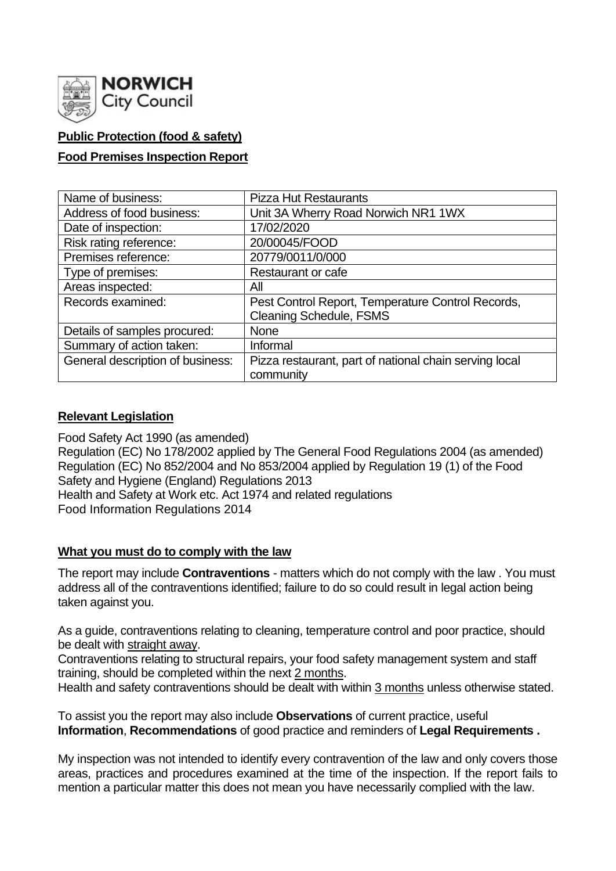

# **Public Protection (food & safety)**

# **Food Premises Inspection Report**

| Name of business:                | <b>Pizza Hut Restaurants</b>                           |
|----------------------------------|--------------------------------------------------------|
| Address of food business:        | Unit 3A Wherry Road Norwich NR1 1WX                    |
| Date of inspection:              | 17/02/2020                                             |
| Risk rating reference:           | 20/00045/FOOD                                          |
| Premises reference:              | 20779/0011/0/000                                       |
| Type of premises:                | <b>Restaurant or cafe</b>                              |
| Areas inspected:                 | All                                                    |
| Records examined:                | Pest Control Report, Temperature Control Records,      |
|                                  | <b>Cleaning Schedule, FSMS</b>                         |
| Details of samples procured:     | <b>None</b>                                            |
| Summary of action taken:         | Informal                                               |
| General description of business: | Pizza restaurant, part of national chain serving local |
|                                  | community                                              |

## **Relevant Legislation**

Food Safety Act 1990 (as amended) Regulation (EC) No 178/2002 applied by The General Food Regulations 2004 (as amended) Regulation (EC) No 852/2004 and No 853/2004 applied by Regulation 19 (1) of the Food Safety and Hygiene (England) Regulations 2013 Health and Safety at Work etc. Act 1974 and related regulations Food Information Regulations 2014

## **What you must do to comply with the law**

The report may include **Contraventions** - matters which do not comply with the law . You must address all of the contraventions identified; failure to do so could result in legal action being taken against you.

As a guide, contraventions relating to cleaning, temperature control and poor practice, should be dealt with straight away.

Contraventions relating to structural repairs, your food safety management system and staff training, should be completed within the next 2 months.

Health and safety contraventions should be dealt with within 3 months unless otherwise stated.

To assist you the report may also include **Observations** of current practice, useful **Information**, **Recommendations** of good practice and reminders of **Legal Requirements .**

My inspection was not intended to identify every contravention of the law and only covers those areas, practices and procedures examined at the time of the inspection. If the report fails to mention a particular matter this does not mean you have necessarily complied with the law.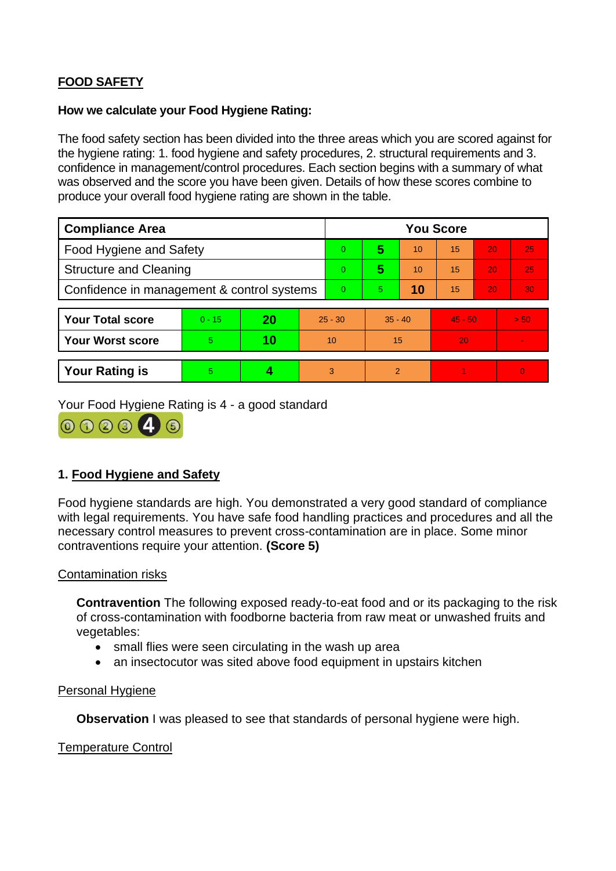# **FOOD SAFETY**

### **How we calculate your Food Hygiene Rating:**

The food safety section has been divided into the three areas which you are scored against for the hygiene rating: 1. food hygiene and safety procedures, 2. structural requirements and 3. confidence in management/control procedures. Each section begins with a summary of what was observed and the score you have been given. Details of how these scores combine to produce your overall food hygiene rating are shown in the table.

| <b>Compliance Area</b>                     |          |    |                | <b>You Score</b> |           |    |           |    |                 |  |
|--------------------------------------------|----------|----|----------------|------------------|-----------|----|-----------|----|-----------------|--|
| Food Hygiene and Safety                    |          |    |                | $\overline{0}$   | 5         | 10 | 15        | 20 | 25              |  |
| <b>Structure and Cleaning</b>              |          |    |                | $\overline{0}$   | 5         | 10 | 15        | 20 | 25 <sub>1</sub> |  |
| Confidence in management & control systems |          |    | $\overline{0}$ | 5.               | 10        | 15 | 20        | 30 |                 |  |
|                                            |          |    |                |                  |           |    |           |    |                 |  |
| <b>Your Total score</b>                    | $0 - 15$ | 20 | $25 - 30$      |                  | $35 - 40$ |    | $45 - 50$ |    | > 50            |  |
| <b>Your Worst score</b>                    | 5        | 10 | 10             |                  | 15        |    | 20        |    |                 |  |
|                                            |          |    |                |                  |           |    |           |    |                 |  |
| <b>Your Rating is</b>                      | 5        | 4  |                | 3                | 2         |    |           |    | $\Omega$        |  |

Your Food Hygiene Rating is 4 - a good standard



# **1. Food Hygiene and Safety**

Food hygiene standards are high. You demonstrated a very good standard of compliance with legal requirements. You have safe food handling practices and procedures and all the necessary control measures to prevent cross-contamination are in place. Some minor contraventions require your attention. **(Score 5)**

## Contamination risks

**Contravention** The following exposed ready-to-eat food and or its packaging to the risk of cross-contamination with foodborne bacteria from raw meat or unwashed fruits and vegetables:

- small flies were seen circulating in the wash up area
- an insectocutor was sited above food equipment in upstairs kitchen

#### Personal Hygiene

**Observation** I was pleased to see that standards of personal hygiene were high.

Temperature Control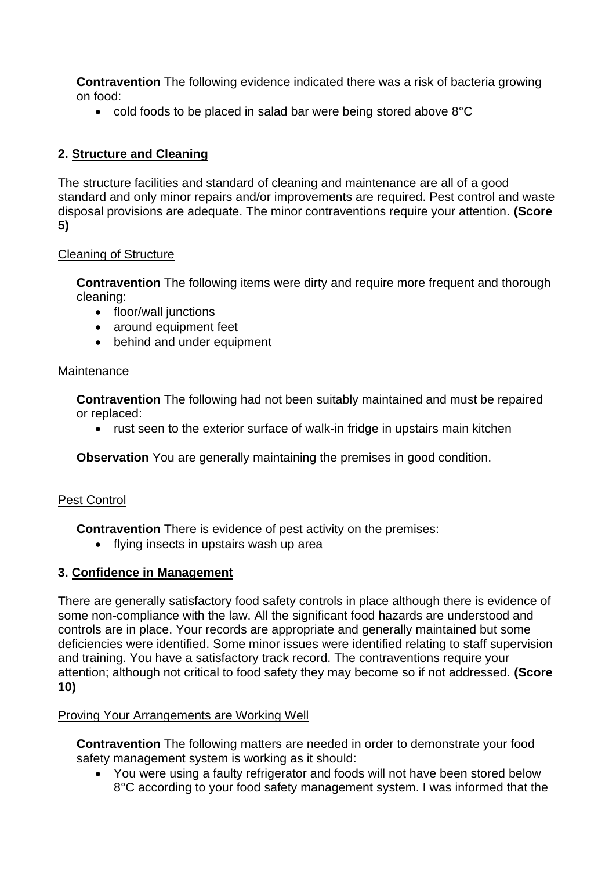**Contravention** The following evidence indicated there was a risk of bacteria growing on food:

• cold foods to be placed in salad bar were being stored above 8°C

# **2. Structure and Cleaning**

The structure facilities and standard of cleaning and maintenance are all of a good standard and only minor repairs and/or improvements are required. Pest control and waste disposal provisions are adequate. The minor contraventions require your attention. **(Score 5)**

# Cleaning of Structure

**Contravention** The following items were dirty and require more frequent and thorough cleaning:

- floor/wall junctions
- around equipment feet
- behind and under equipment

## **Maintenance**

**Contravention** The following had not been suitably maintained and must be repaired or replaced:

• rust seen to the exterior surface of walk-in fridge in upstairs main kitchen

**Observation** You are generally maintaining the premises in good condition.

# Pest Control

**Contravention** There is evidence of pest activity on the premises:

• flying insects in upstairs wash up area

# **3. Confidence in Management**

There are generally satisfactory food safety controls in place although there is evidence of some non-compliance with the law. All the significant food hazards are understood and controls are in place. Your records are appropriate and generally maintained but some deficiencies were identified. Some minor issues were identified relating to staff supervision and training. You have a satisfactory track record. The contraventions require your attention; although not critical to food safety they may become so if not addressed. **(Score 10)**

## Proving Your Arrangements are Working Well

**Contravention** The following matters are needed in order to demonstrate your food safety management system is working as it should:

• You were using a faulty refrigerator and foods will not have been stored below 8°C according to your food safety management system. I was informed that the